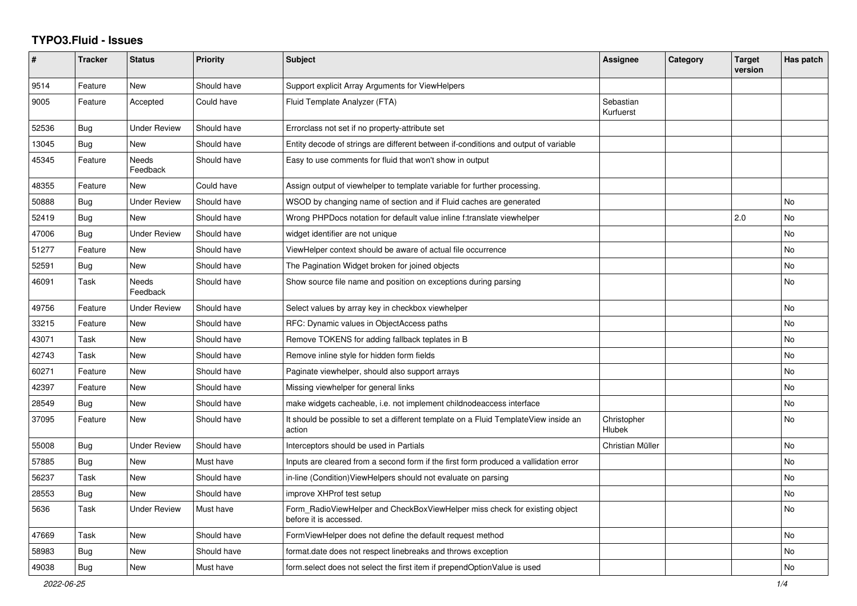## **TYPO3.Fluid - Issues**

| $\#$  | <b>Tracker</b> | <b>Status</b>       | <b>Priority</b> | <b>Subject</b>                                                                                       | Assignee               | Category | <b>Target</b><br>version | Has patch |
|-------|----------------|---------------------|-----------------|------------------------------------------------------------------------------------------------------|------------------------|----------|--------------------------|-----------|
| 9514  | Feature        | <b>New</b>          | Should have     | Support explicit Array Arguments for ViewHelpers                                                     |                        |          |                          |           |
| 9005  | Feature        | Accepted            | Could have      | Fluid Template Analyzer (FTA)                                                                        | Sebastian<br>Kurfuerst |          |                          |           |
| 52536 | <b>Bug</b>     | <b>Under Review</b> | Should have     | Errorclass not set if no property-attribute set                                                      |                        |          |                          |           |
| 13045 | Bug            | <b>New</b>          | Should have     | Entity decode of strings are different between if-conditions and output of variable                  |                        |          |                          |           |
| 45345 | Feature        | Needs<br>Feedback   | Should have     | Easy to use comments for fluid that won't show in output                                             |                        |          |                          |           |
| 48355 | Feature        | New                 | Could have      | Assign output of viewhelper to template variable for further processing.                             |                        |          |                          |           |
| 50888 | Bug            | Under Review        | Should have     | WSOD by changing name of section and if Fluid caches are generated                                   |                        |          |                          | No        |
| 52419 | <b>Bug</b>     | <b>New</b>          | Should have     | Wrong PHPDocs notation for default value inline f:translate viewhelper                               |                        |          | 2.0                      | No        |
| 47006 | Bug            | <b>Under Review</b> | Should have     | widget identifier are not unique                                                                     |                        |          |                          | No        |
| 51277 | Feature        | New                 | Should have     | ViewHelper context should be aware of actual file occurrence                                         |                        |          |                          | <b>No</b> |
| 52591 | Bug            | <b>New</b>          | Should have     | The Pagination Widget broken for joined objects                                                      |                        |          |                          | <b>No</b> |
| 46091 | Task           | Needs<br>Feedback   | Should have     | Show source file name and position on exceptions during parsing                                      |                        |          |                          | <b>No</b> |
| 49756 | Feature        | <b>Under Review</b> | Should have     | Select values by array key in checkbox viewhelper                                                    |                        |          |                          | <b>No</b> |
| 33215 | Feature        | New                 | Should have     | RFC: Dynamic values in ObjectAccess paths                                                            |                        |          |                          | No        |
| 43071 | Task           | New                 | Should have     | Remove TOKENS for adding fallback teplates in B                                                      |                        |          |                          | <b>No</b> |
| 42743 | Task           | New                 | Should have     | Remove inline style for hidden form fields                                                           |                        |          |                          | No        |
| 60271 | Feature        | New                 | Should have     | Paginate viewhelper, should also support arrays                                                      |                        |          |                          | No        |
| 42397 | Feature        | New                 | Should have     | Missing viewhelper for general links                                                                 |                        |          |                          | <b>No</b> |
| 28549 | Bug            | New                 | Should have     | make widgets cacheable, i.e. not implement childnodeaccess interface                                 |                        |          |                          | <b>No</b> |
| 37095 | Feature        | New                 | Should have     | It should be possible to set a different template on a Fluid TemplateView inside an<br>action        | Christopher<br>Hlubek  |          |                          | <b>No</b> |
| 55008 | <b>Bug</b>     | Under Review        | Should have     | Interceptors should be used in Partials                                                              | Christian Müller       |          |                          | No.       |
| 57885 | <b>Bug</b>     | New                 | Must have       | Inputs are cleared from a second form if the first form produced a vallidation error                 |                        |          |                          | No        |
| 56237 | Task           | New                 | Should have     | in-line (Condition) View Helpers should not evaluate on parsing                                      |                        |          |                          | No        |
| 28553 | <b>Bug</b>     | New                 | Should have     | improve XHProf test setup                                                                            |                        |          |                          | No        |
| 5636  | Task           | <b>Under Review</b> | Must have       | Form RadioViewHelper and CheckBoxViewHelper miss check for existing object<br>before it is accessed. |                        |          |                          | No.       |
| 47669 | Task           | New                 | Should have     | FormViewHelper does not define the default request method                                            |                        |          |                          | <b>No</b> |
| 58983 | Bug            | New                 | Should have     | format.date does not respect linebreaks and throws exception                                         |                        |          |                          | No        |
| 49038 | Bug            | New                 | Must have       | form select does not select the first item if prependOptionValue is used                             |                        |          |                          | No        |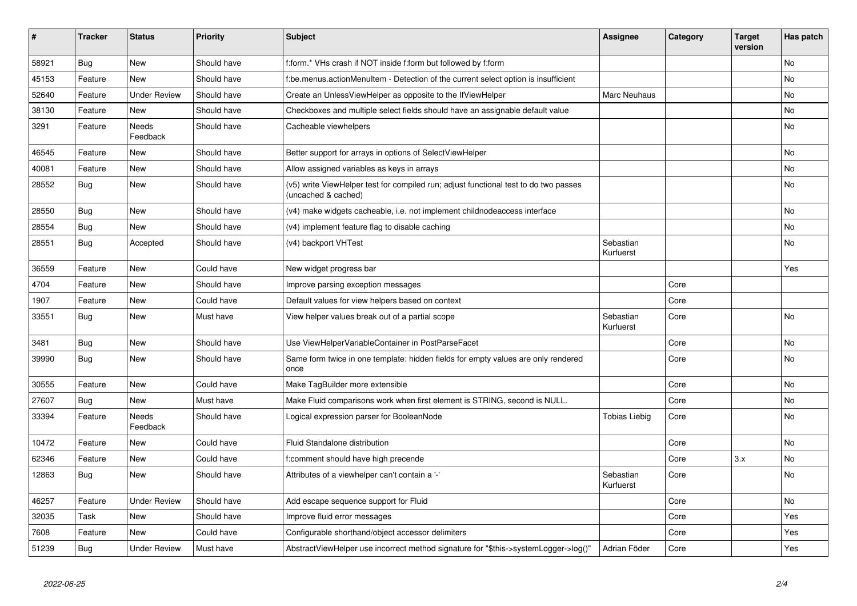| $\vert$ # | <b>Tracker</b> | <b>Status</b>            | <b>Priority</b> | <b>Subject</b>                                                                                              | Assignee               | Category | <b>Target</b><br>version | Has patch |
|-----------|----------------|--------------------------|-----------------|-------------------------------------------------------------------------------------------------------------|------------------------|----------|--------------------------|-----------|
| 58921     | Bug            | <b>New</b>               | Should have     | f:form.* VHs crash if NOT inside f:form but followed by f:form                                              |                        |          |                          | <b>No</b> |
| 45153     | Feature        | New                      | Should have     | be.menus.actionMenuItem - Detection of the current select option is insufficient                            |                        |          |                          | <b>No</b> |
| 52640     | Feature        | <b>Under Review</b>      | Should have     | Create an UnlessViewHelper as opposite to the IfViewHelper                                                  | Marc Neuhaus           |          |                          | <b>No</b> |
| 38130     | Feature        | New                      | Should have     | Checkboxes and multiple select fields should have an assignable default value                               |                        |          |                          | No        |
| 3291      | Feature        | Needs<br>Feedback        | Should have     | Cacheable viewhelpers                                                                                       |                        |          |                          | No        |
| 46545     | Feature        | New                      | Should have     | Better support for arrays in options of SelectViewHelper                                                    |                        |          |                          | <b>No</b> |
| 40081     | Feature        | New                      | Should have     | Allow assigned variables as keys in arrays                                                                  |                        |          |                          | <b>No</b> |
| 28552     | Bug            | New                      | Should have     | (v5) write ViewHelper test for compiled run; adjust functional test to do two passes<br>(uncached & cached) |                        |          |                          | <b>No</b> |
| 28550     | Bug            | <b>New</b>               | Should have     | (v4) make widgets cacheable, i.e. not implement childnodeaccess interface                                   |                        |          |                          | <b>No</b> |
| 28554     | <b>Bug</b>     | New                      | Should have     | (v4) implement feature flag to disable caching                                                              |                        |          |                          | <b>No</b> |
| 28551     | <b>Bug</b>     | Accepted                 | Should have     | (v4) backport VHTest                                                                                        | Sebastian<br>Kurfuerst |          |                          | No        |
| 36559     | Feature        | <b>New</b>               | Could have      | New widget progress bar                                                                                     |                        |          |                          | Yes       |
| 4704      | Feature        | <b>New</b>               | Should have     | Improve parsing exception messages                                                                          |                        | Core     |                          |           |
| 1907      | Feature        | <b>New</b>               | Could have      | Default values for view helpers based on context                                                            |                        | Core     |                          |           |
| 33551     | Bug            | New                      | Must have       | View helper values break out of a partial scope                                                             | Sebastian<br>Kurfuerst | Core     |                          | <b>No</b> |
| 3481      | Bug            | <b>New</b>               | Should have     | Use ViewHelperVariableContainer in PostParseFacet                                                           |                        | Core     |                          | No        |
| 39990     | <b>Bug</b>     | New                      | Should have     | Same form twice in one template: hidden fields for empty values are only rendered<br>once                   |                        | Core     |                          | <b>No</b> |
| 30555     | Feature        | <b>New</b>               | Could have      | Make TagBuilder more extensible                                                                             |                        | Core     |                          | No        |
| 27607     | <b>Bug</b>     | New                      | Must have       | Make Fluid comparisons work when first element is STRING, second is NULL.                                   |                        | Core     |                          | No        |
| 33394     | Feature        | <b>Needs</b><br>Feedback | Should have     | Logical expression parser for BooleanNode                                                                   | Tobias Liebig          | Core     |                          | <b>No</b> |
| 10472     | Feature        | <b>New</b>               | Could have      | Fluid Standalone distribution                                                                               |                        | Core     |                          | No        |
| 62346     | Feature        | New                      | Could have      | f:comment should have high precende                                                                         |                        | Core     | 3.x                      | No        |
| 12863     | <b>Bug</b>     | New                      | Should have     | Attributes of a viewhelper can't contain a '-'                                                              | Sebastian<br>Kurfuerst | Core     |                          | No        |
| 46257     | Feature        | <b>Under Review</b>      | Should have     | Add escape sequence support for Fluid                                                                       |                        | Core     |                          | No        |
| 32035     | Task           | New                      | Should have     | Improve fluid error messages                                                                                |                        | Core     |                          | Yes       |
| 7608      | Feature        | <b>New</b>               | Could have      | Configurable shorthand/object accessor delimiters                                                           |                        | Core     |                          | Yes       |
| 51239     | Bug            | <b>Under Review</b>      | Must have       | AbstractViewHelper use incorrect method signature for "\$this->systemLogger->log()"                         | Adrian Föder           | Core     |                          | Yes       |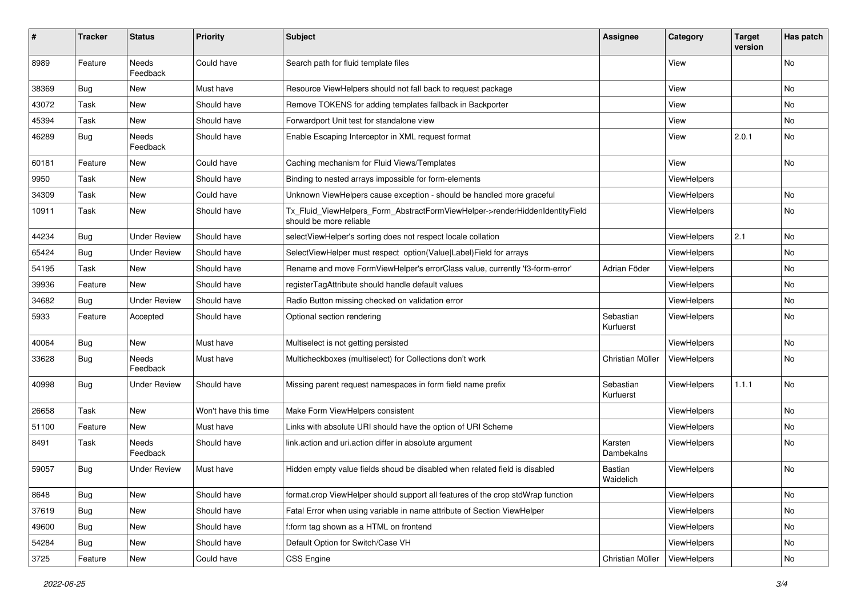| $\pmb{\#}$ | <b>Tracker</b> | <b>Status</b>            | <b>Priority</b>      | <b>Subject</b>                                                                                         | <b>Assignee</b>        | Category           | <b>Target</b><br>version | Has patch |
|------------|----------------|--------------------------|----------------------|--------------------------------------------------------------------------------------------------------|------------------------|--------------------|--------------------------|-----------|
| 8989       | Feature        | Needs<br>Feedback        | Could have           | Search path for fluid template files                                                                   |                        | View               |                          | <b>No</b> |
| 38369      | Bug            | New                      | Must have            | Resource ViewHelpers should not fall back to request package                                           |                        | View               |                          | No        |
| 43072      | Task           | New                      | Should have          | Remove TOKENS for adding templates fallback in Backporter                                              |                        | View               |                          | No        |
| 45394      | Task           | New                      | Should have          | Forwardport Unit test for standalone view                                                              |                        | View               |                          | No        |
| 46289      | Bug            | <b>Needs</b><br>Feedback | Should have          | Enable Escaping Interceptor in XML request format                                                      |                        | View               | 2.0.1                    | No        |
| 60181      | Feature        | New                      | Could have           | Caching mechanism for Fluid Views/Templates                                                            |                        | View               |                          | <b>No</b> |
| 9950       | Task           | <b>New</b>               | Should have          | Binding to nested arrays impossible for form-elements                                                  |                        | ViewHelpers        |                          |           |
| 34309      | Task           | New                      | Could have           | Unknown ViewHelpers cause exception - should be handled more graceful                                  |                        | ViewHelpers        |                          | No        |
| 10911      | Task           | New                      | Should have          | Tx_Fluid_ViewHelpers_Form_AbstractFormViewHelper->renderHiddenIdentityField<br>should be more reliable |                        | ViewHelpers        |                          | No        |
| 44234      | Bug            | <b>Under Review</b>      | Should have          | selectViewHelper's sorting does not respect locale collation                                           |                        | ViewHelpers        | 2.1                      | No        |
| 65424      | Bug            | <b>Under Review</b>      | Should have          | SelectViewHelper must respect option(Value Label)Field for arrays                                      |                        | <b>ViewHelpers</b> |                          | <b>No</b> |
| 54195      | Task           | New                      | Should have          | Rename and move FormViewHelper's errorClass value, currently 'f3-form-error'                           | Adrian Föder           | ViewHelpers        |                          | No        |
| 39936      | Feature        | New                      | Should have          | registerTagAttribute should handle default values                                                      |                        | ViewHelpers        |                          | No        |
| 34682      | Bug            | <b>Under Review</b>      | Should have          | Radio Button missing checked on validation error                                                       |                        | ViewHelpers        |                          | No        |
| 5933       | Feature        | Accepted                 | Should have          | Optional section rendering                                                                             | Sebastian<br>Kurfuerst | ViewHelpers        |                          | No        |
| 40064      | Bug            | New                      | Must have            | Multiselect is not getting persisted                                                                   |                        | ViewHelpers        |                          | No        |
| 33628      | Bug            | Needs<br>Feedback        | Must have            | Multicheckboxes (multiselect) for Collections don't work                                               | Christian Müller       | ViewHelpers        |                          | No        |
| 40998      | Bug            | Under Review             | Should have          | Missing parent request namespaces in form field name prefix                                            | Sebastian<br>Kurfuerst | ViewHelpers        | 1.1.1                    | No        |
| 26658      | Task           | New                      | Won't have this time | Make Form ViewHelpers consistent                                                                       |                        | ViewHelpers        |                          | No        |
| 51100      | Feature        | <b>New</b>               | Must have            | Links with absolute URI should have the option of URI Scheme                                           |                        | ViewHelpers        |                          | No        |
| 8491       | Task           | Needs<br>Feedback        | Should have          | link.action and uri.action differ in absolute argument                                                 | Karsten<br>Dambekalns  | ViewHelpers        |                          | No        |
| 59057      | Bug            | Under Review             | Must have            | Hidden empty value fields shoud be disabled when related field is disabled                             | Bastian<br>Waidelich   | ViewHelpers        |                          | <b>No</b> |
| 8648       | Bug            | New                      | Should have          | format.crop ViewHelper should support all features of the crop stdWrap function                        |                        | ViewHelpers        |                          | No        |
| 37619      | Bug            | New                      | Should have          | Fatal Error when using variable in name attribute of Section ViewHelper                                |                        | ViewHelpers        |                          | No        |
| 49600      | Bug            | New                      | Should have          | f:form tag shown as a HTML on frontend                                                                 |                        | ViewHelpers        |                          | No        |
| 54284      | Bug            | New                      | Should have          | Default Option for Switch/Case VH                                                                      |                        | ViewHelpers        |                          | No        |
| 3725       | Feature        | New                      | Could have           | <b>CSS Engine</b>                                                                                      | Christian Müller       | ViewHelpers        |                          | No        |